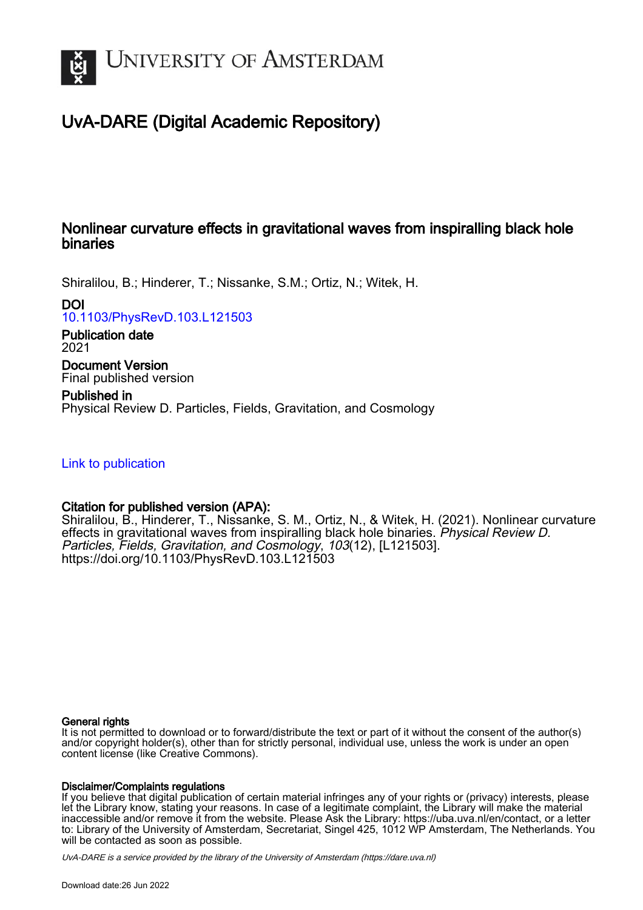

# UvA-DARE (Digital Academic Repository)

#### Nonlinear curvature effects in gravitational waves from inspiralling black hole binaries

Shiralilou, B.; Hinderer, T.; Nissanke, S.M.; Ortiz, N.; Witek, H.

DOI

[10.1103/PhysRevD.103.L121503](https://doi.org/10.1103/PhysRevD.103.L121503)

Publication date 2021

Document Version Final published version

Published in Physical Review D. Particles, Fields, Gravitation, and Cosmology

[Link to publication](https://dare.uva.nl/personal/pure/en/publications/nonlinear-curvature-effects-in-gravitational-waves-from-inspiralling-black-hole-binaries(9fb4b587-cb8a-4c19-83d8-06d62517da9b).html)

#### Citation for published version (APA):

Shiralilou, B., Hinderer, T., Nissanke, S. M., Ortiz, N., & Witek, H. (2021). Nonlinear curvature effects in gravitational waves from inspiralling black hole binaries. Physical Review D. Particles, Fields, Gravitation, and Cosmology, 103(12), [L121503]. <https://doi.org/10.1103/PhysRevD.103.L121503>

#### General rights

It is not permitted to download or to forward/distribute the text or part of it without the consent of the author(s) and/or copyright holder(s), other than for strictly personal, individual use, unless the work is under an open content license (like Creative Commons).

#### Disclaimer/Complaints regulations

If you believe that digital publication of certain material infringes any of your rights or (privacy) interests, please let the Library know, stating your reasons. In case of a legitimate complaint, the Library will make the material inaccessible and/or remove it from the website. Please Ask the Library: https://uba.uva.nl/en/contact, or a letter to: Library of the University of Amsterdam, Secretariat, Singel 425, 1012 WP Amsterdam, The Netherlands. You will be contacted as soon as possible.

UvA-DARE is a service provided by the library of the University of Amsterdam (http*s*://dare.uva.nl)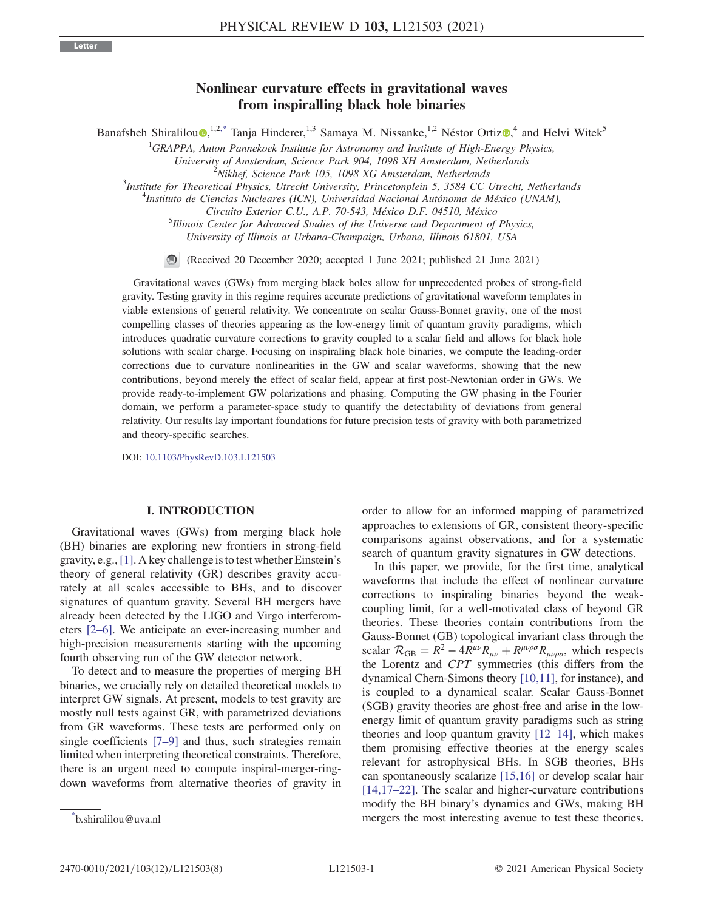# Nonlinear curvature effects in gravitational waves  $f$ r inspiralling black hole binaries

<span id="page-1-1"></span>Banafsheh Shiralilou [,](https://orcid.org/0000-0002-2989-6694)<sup>1,2[,\\*](#page-1-0)</sup> Tanja Hinderer,<sup>1,3</sup> Samaya M. Nissanke,<sup>1,2</sup> Néstor Ortiz ,<sup>4</sup> and Helvi Witek<sup>5</sup>

 ${}^{1}$ GRAPPA, Anton Pannekoek Institute for Astronomy and Institute of High-Energy Physics,

University of Amsterdam, Science Park 904, 1098 XH Amsterdam, Netherlands <sup>2</sup>

<sup>3</sup>Institute for Theoretical Physics, Utrecht University, Princetonplein 5, 3584 CC Utrecht, Netherlands

 $\mu^4$ Instituto de Ciencias Nucleares (ICN), Universidad Nacional Autónoma de México (UNAM),

Circuito Exterior C.U., A.P. 70-543, México D.F. 04510, México

 $<sup>5</sup>$ Illinois Center for Advanced Studies of the Universe and Department of Physics,</sup> University of Illinois at Urbana-Champaign, Urbana, Illinois 61801, USA

(Received 20 December 2020; accepted 1 June 2021; published 21 June 2021)

Gravitational waves (GWs) from merging black holes allow for unprecedented probes of strong-field gravity. Testing gravity in this regime requires accurate predictions of gravitational waveform templates in viable extensions of general relativity. We concentrate on scalar Gauss-Bonnet gravity, one of the most compelling classes of theories appearing as the low-energy limit of quantum gravity paradigms, which introduces quadratic curvature corrections to gravity coupled to a scalar field and allows for black hole solutions with scalar charge. Focusing on inspiraling black hole binaries, we compute the leading-order corrections due to curvature nonlinearities in the GW and scalar waveforms, showing that the new contributions, beyond merely the effect of scalar field, appear at first post-Newtonian order in GWs. We provide ready-to-implement GW polarizations and phasing. Computing the GW phasing in the Fourier domain, we perform a parameter-space study to quantify the detectability of deviations from general relativity. Our results lay important foundations for future precision tests of gravity with both parametrized and theory-specific searches.

DOI: [10.1103/PhysRevD.103.L121503](https://doi.org/10.1103/PhysRevD.103.L121503)

## I. INTRODUCTION

Gravitational waves (GWs) from merging black hole (BH) binaries are exploring new frontiers in strong-field gravity, e.g.,[\[1\]](#page-7-0). A key challenge is to test whether Einstein's theory of general relativity (GR) describes gravity accurately at all scales accessible to BHs, and to discover signatures of quantum gravity. Several BH mergers have already been detected by the LIGO and Virgo interferometers [2–[6\].](#page-7-1) We anticipate an ever-increasing number and high-precision measurements starting with the upcoming fourth observing run of the GW detector network.

To detect and to measure the properties of merging BH binaries, we crucially rely on detailed theoretical models to interpret GW signals. At present, models to test gravity are mostly null tests against GR, with parametrized deviations from GR waveforms. These tests are performed only on single coefficients [7–[9\]](#page-7-2) and thus, such strategies remain limited when interpreting theoretical constraints. Therefore, there is an urgent need to compute inspiral-merger-ringdown waveforms from alternative theories of gravity in order to allow for an informed mapping of parametrized approaches to extensions of GR, consistent theory-specific comparisons against observations, and for a systematic search of quantum gravity signatures in GW detections.

In this paper, we provide, for the first time, analytical waveforms that include the effect of nonlinear curvature corrections to inspiraling binaries beyond the weakcoupling limit, for a well-motivated class of beyond GR theories. These theories contain contributions from the Gauss-Bonnet (GB) topological invariant class through the scalar  $R_{GB} = R^2 - 4R^{\mu\nu}R_{\mu\nu} + R^{\mu\nu\rho\sigma}R_{\mu\nu\rho\sigma}$ , which respects the Lorentz and CPT symmetries (this differs from the dynamical Chern-Simons theory [\[10,11\],](#page-7-3) for instance), and is coupled to a dynamical scalar. Scalar Gauss-Bonnet (SGB) gravity theories are ghost-free and arise in the lowenergy limit of quantum gravity paradigms such as string theories and loop quantum gravity  $[12-14]$  $[12-14]$ , which makes them promising effective theories at the energy scales relevant for astrophysical BHs. In SGB theories, BHs can spontaneously scalarize [\[15,16\]](#page-7-5) or develop scalar hair [\[14,17](#page-7-6)–22]. The scalar and higher-curvature contributions modify the BH binary's dynamics and GWs, making BH mergers the most interesting avenue to test these theories.

 $N$ ikhef, Science Park 105, 1098 XG Amsterdam, Netherlands

<span id="page-1-0"></span>b.shiralilou@uva.nl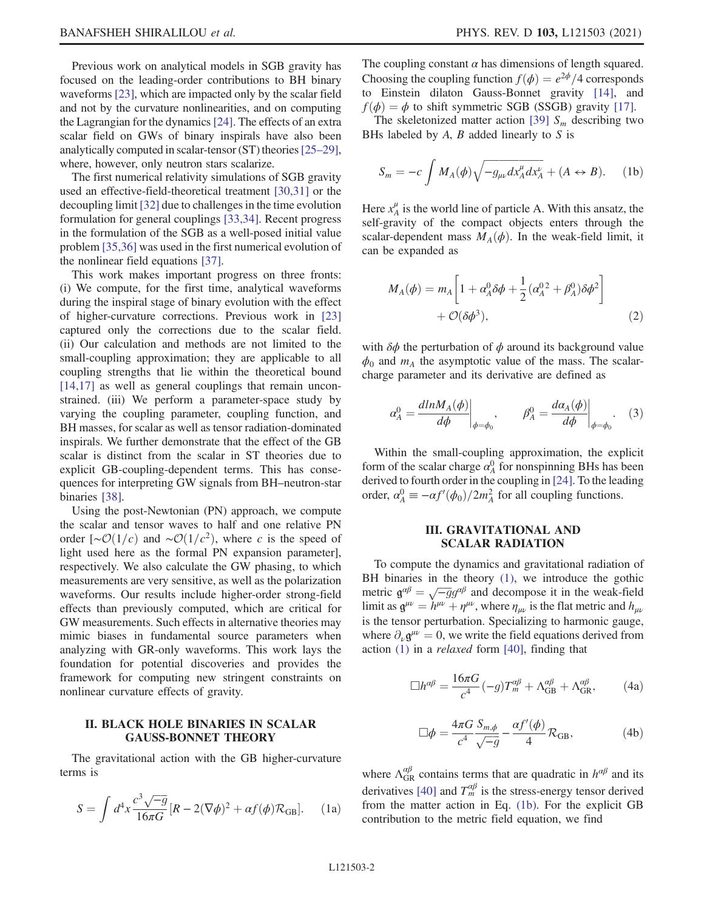Previous work on analytical models in SGB gravity has focused on the leading-order contributions to BH binary waveforms [\[23\],](#page-7-7) which are impacted only by the scalar field and not by the curvature nonlinearities, and on computing the Lagrangian for the dynamics[\[24\].](#page-7-8) The effects of an extra scalar field on GWs of binary inspirals have also been analytically computed in scalar-tensor (ST) theories[\[25](#page-7-9)–29], where, however, only neutron stars scalarize.

The first numerical relativity simulations of SGB gravity used an effective-field-theoretical treatment [\[30,31\]](#page-8-0) or the decoupling limit [\[32\]](#page-8-1) due to challenges in the time evolution formulation for general couplings [\[33,34\]](#page-8-2). Recent progress in the formulation of the SGB as a well-posed initial value problem [\[35,36\]](#page-8-3) was used in the first numerical evolution of the nonlinear field equations [\[37\]](#page-8-4).

This work makes important progress on three fronts: (i) We compute, for the first time, analytical waveforms during the inspiral stage of binary evolution with the effect of higher-curvature corrections. Previous work in [\[23\]](#page-7-7) captured only the corrections due to the scalar field. (ii) Our calculation and methods are not limited to the small-coupling approximation; they are applicable to all coupling strengths that lie within the theoretical bound [\[14,17\]](#page-7-6) as well as general couplings that remain unconstrained. (iii) We perform a parameter-space study by varying the coupling parameter, coupling function, and BH masses, for scalar as well as tensor radiation-dominated inspirals. We further demonstrate that the effect of the GB scalar is distinct from the scalar in ST theories due to explicit GB-coupling-dependent terms. This has consequences for interpreting GW signals from BH–neutron-star binaries [\[38\].](#page-8-5)

Using the post-Newtonian (PN) approach, we compute the scalar and tensor waves to half and one relative PN order [∼ $\mathcal{O}(1/c)$  and ∼ $\mathcal{O}(1/c^2)$ , where c is the speed of light used here as the formal PN expansion parameter], respectively. We also calculate the GW phasing, to which measurements are very sensitive, as well as the polarization waveforms. Our results include higher-order strong-field effects than previously computed, which are critical for GW measurements. Such effects in alternative theories may mimic biases in fundamental source parameters when analyzing with GR-only waveforms. This work lays the foundation for potential discoveries and provides the framework for computing new stringent constraints on nonlinear curvature effects of gravity.

#### **II. BLACK HOLE BINARIES IN SCALAR<br>GAUSS-BONNET THEORY** GAUSS-BONNET THEORY

<span id="page-2-0"></span>The gravitational action with the GB higher-curvature terms is

$$
S = \int d^4x \frac{c^3 \sqrt{-g}}{16\pi G} [R - 2(\nabla \phi)^2 + \alpha f(\phi) \mathcal{R}_{GB}]. \tag{1a}
$$

The coupling constant  $\alpha$  has dimensions of length squared. Choosing the coupling function  $f(\phi) = e^{2\phi}/4$  corresponds to Einstein dilaton Gauss-Bonnet gravity [\[14\],](#page-7-6) and  $f$  $(\phi) = \phi$  to shift symmetric SGB (SSGB) gravity [\[17\]](#page-7-10).

<span id="page-2-1"></span>The skeletonized matter action [\[39\]](#page-8-6)  $S_m$  describing two BHs labeled by  $A$ ,  $B$  added linearly to  $S$  is

$$
S_m = -c \int M_A(\phi) \sqrt{-g_{\mu\nu} dx_A^{\mu} dx_A^{\nu}} + (A \leftrightarrow B). \quad (1b)
$$

Here  $x_A^{\mu}$  is the world line of particle A. With this ansatz, the self-gravity of the compact objects enters through the scalar-dependent mass  $M_A(\phi)$ . In the weak-field limit, it can be expanded as

$$
M_A(\phi) = m_A \left[ 1 + \alpha_A^0 \delta \phi + \frac{1}{2} (\alpha_A^0{}^2 + \beta_A^0) \delta \phi^2 \right] + \mathcal{O}(\delta \phi^3), \tag{2}
$$

with  $\delta\phi$  the perturbation of  $\phi$  around its background value  $\phi_0$  and  $m_A$  the asymptotic value of the mass. The scalarcharge parameter and its derivative are defined as

$$
\alpha_A^0 = \frac{dln M_A(\phi)}{d\phi}\bigg|_{\phi = \phi_0}, \qquad \beta_A^0 = \frac{d\alpha_A(\phi)}{d\phi}\bigg|_{\phi = \phi_0}.
$$
 (3)

Within the small-coupling approximation, the explicit form of the scalar charge  $\alpha_A^0$  for nonspinning BHs has been derived to fourth order in the coupling in [\[24\].](#page-7-8) To the leading order,  $\alpha_A^0 \equiv -\alpha f'(\phi_0)/2m_A^2$  for all coupling functions.

### III. GRAVITATIONAL AND<br>SCALAR RADIATION SCALAR RADIATION

<span id="page-2-2"></span>To compute the dynamics and gravitational radiation of BH binaries in the theory [\(1\)](#page-2-0), we introduce the gothic metric  $\mathbf{g}^{\alpha\beta} = \sqrt{-g}g^{\alpha\beta}$  and decompose it in the weak-field<br>limit as  $\mathbf{g}^{\mu\nu} = h^{\mu\nu} + n^{\mu\nu}$  where *n* is the flat metric and *h* limit as  $g^{\mu\nu} = h^{\mu\nu} + \eta^{\mu\nu}$ , where  $\eta_{\mu\nu}$  is the flat metric and  $h_{\mu\nu}$ is the tensor perturbation. Specializing to harmonic gauge, where  $\partial_{\nu} \mathbf{g}^{\mu\nu} = 0$ , we write the field equations derived from action  $(1)$  in a *relaxed* form  $[40]$ , finding that

$$
\Box h^{\alpha\beta} = \frac{16\pi G}{c^4} (-g) T_m^{\alpha\beta} + \Lambda_{GB}^{\alpha\beta} + \Lambda_{GR}^{\alpha\beta}, \tag{4a}
$$

$$
\Box \phi = \frac{4\pi G}{c^4} \frac{S_{m,\phi}}{\sqrt{-g}} - \frac{\alpha f'(\phi)}{4} \mathcal{R}_{GB},\tag{4b}
$$

where  $\Lambda_{GR}^{\alpha\beta}$  contains terms that are quadratic in  $h^{\alpha\beta}$  and its derivatives [\[40\]](#page-8-7) and  $T_m^{\alpha\beta}$  is the stress-energy tensor derived from the matter action in Eq. [\(1b\).](#page-2-1) For the explicit GB contribution to the metric field equation, we find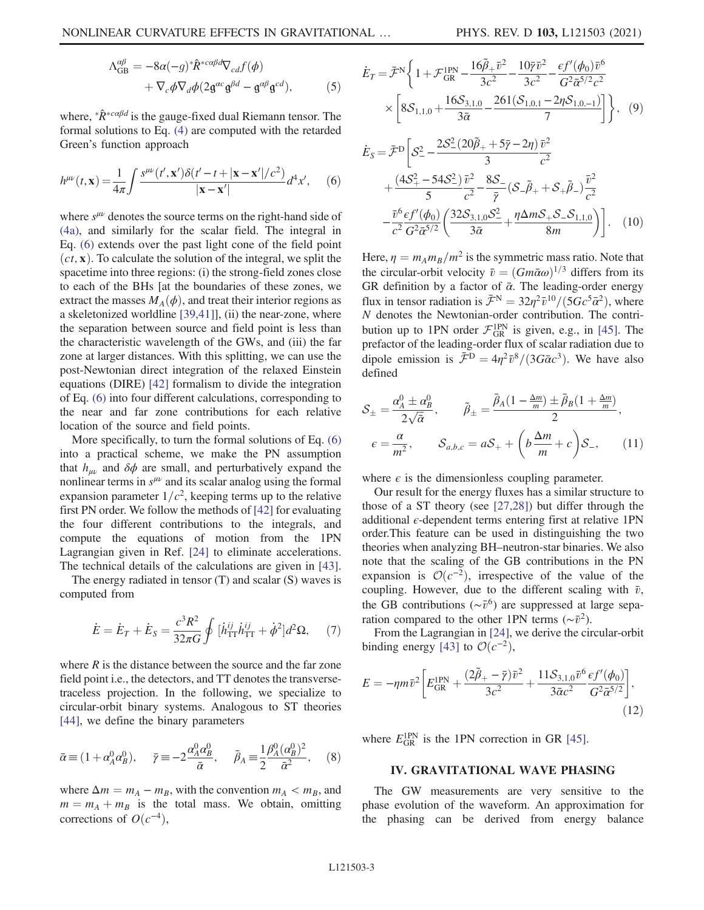$$
\Lambda_{GB}^{\alpha\beta} = -8\alpha(-g)^*\hat{R}^{*c\alpha\beta d}\nabla_{cd}f(\phi) \n+ \nabla_c\phi\nabla_d\phi(2\mathfrak{g}^{\alpha c}\mathfrak{g}^{\beta d} - \mathfrak{g}^{\alpha\beta}\mathfrak{g}^{cd}),
$$
\n(5)

<span id="page-3-0"></span>where,  ${}^*\hat{R}^{*c\alpha\beta d}$  is the gauge-fixed dual Riemann tensor. The formal solutions to Eq. [\(4\)](#page-2-2) are computed with the retarded Green's function approach

$$
h^{\mu\nu}(t,\mathbf{x}) = \frac{1}{4\pi} \int \frac{s^{\mu\nu}(t',\mathbf{x}')\delta(t'-t+|\mathbf{x}-\mathbf{x}'|/c^2)}{|\mathbf{x}-\mathbf{x}'|} d^4x',\qquad(6)
$$

where  $s^{\mu\nu}$  denotes the source terms on the right-hand side of [\(4a\),](#page-2-2) and similarly for the scalar field. The integral in Eq. [\(6\)](#page-3-0) extends over the past light cone of the field point  $(ct, x)$ . To calculate the solution of the integral, we split the spacetime into three regions: (i) the strong-field zones close to each of the BHs [at the boundaries of these zones, we extract the masses  $M_A(\phi)$ , and treat their interior regions as a skeletonized worldline [\[39,41\]\]](#page-8-6), (ii) the near-zone, where the separation between source and field point is less than the characteristic wavelength of the GWs, and (iii) the far zone at larger distances. With this splitting, we can use the post-Newtonian direct integration of the relaxed Einstein equations (DIRE) [\[42\]](#page-8-8) formalism to divide the integration of Eq. [\(6\)](#page-3-0) into four different calculations, corresponding to the near and far zone contributions for each relative location of the source and field points.

More specifically, to turn the formal solutions of Eq. [\(6\)](#page-3-0) into a practical scheme, we make the PN assumption that  $h_{\mu\nu}$  and  $\delta\phi$  are small, and perturbatively expand the nonlinear terms in  $s^{\mu\nu}$  and its scalar analog using the formal expansion parameter  $1/c^2$ , keeping terms up to the relative first PN order. We follow the methods of [\[42\]](#page-8-8) for evaluating the four different contributions to the integrals, and compute the equations of motion from the 1PN Lagrangian given in Ref. [\[24\]](#page-7-8) to eliminate accelerations. The technical details of the calculations are given in [\[43\]](#page-8-9).

The energy radiated in tensor (T) and scalar (S) waves is computed from

$$
\dot{E} = \dot{E}_T + \dot{E}_S = \frac{c^3 R^2}{32\pi G} \oint [\dot{h}_{TT}^{ij} \dot{h}_{TT}^{ij} + \dot{\phi}^2] d^2 \Omega, \quad (7)
$$

where  $R$  is the distance between the source and the far zone field point i.e., the detectors, and TT denotes the transversetraceless projection. In the following, we specialize to circular-orbit binary systems. Analogous to ST theories [\[44\]](#page-8-10), we define the binary parameters

$$
\bar{\alpha} \equiv (1 + \alpha_A^0 \alpha_B^0), \quad \bar{\gamma} \equiv -2 \frac{\alpha_A^0 \alpha_B^0}{\bar{\alpha}}, \quad \bar{\beta}_A \equiv \frac{1}{2} \frac{\beta_A^0 (\alpha_B^0)^2}{\bar{\alpha}^2}, \quad (8)
$$

where  $\Delta m = m_A - m_B$ , with the convention  $m_A < m_B$ , and  $m = m_A + m_B$  is the total mass. We obtain, omitting corrections of  $O(c^{-4})$ ,

$$
\dot{E}_T = \bar{\mathcal{F}}^N \left\{ 1 + \mathcal{F}_{GR}^{IPN} - \frac{16\tilde{\beta}_+ \bar{v}^2}{3c^2} - \frac{10\bar{\gamma}\bar{v}^2}{3c^2} - \frac{\epsilon f'(\phi_0)\bar{v}^6}{G^2 \bar{\alpha}^{5/2} c^2} \times \left[ 8\mathcal{S}_{1,1,0} + \frac{16\mathcal{S}_{3,1,0}}{3\bar{\alpha}} - \frac{261(\mathcal{S}_{1,0,1} - 2\eta \mathcal{S}_{1,0,-1})}{7} \right] \right\}, \quad (9)
$$

$$
\dot{E}_{S} = \bar{\mathcal{F}}^{D} \left[ \mathcal{S}_{-}^{2} - \frac{2\mathcal{S}_{-}^{2} (20\tilde{\beta}_{+} + 5\bar{\gamma} - 2\eta)}{3} \frac{\bar{v}^{2}}{c^{2}} \right. \\
\left. + \frac{(4\mathcal{S}_{+}^{2} - 54\mathcal{S}_{-}^{2}) \bar{v}^{2}}{5} - \frac{8\mathcal{S}_{-}}{\bar{v}^{2}} (\mathcal{S}_{-}\tilde{\beta}_{+} + \mathcal{S}_{+}\tilde{\beta}_{-}) \frac{\bar{v}^{2}}{c^{2}} \right. \\
\left. - \frac{\bar{v}^{6} \epsilon f'(\phi_{0})}{c^{2} G^{2} \bar{\alpha}^{5/2}} \left( \frac{32\mathcal{S}_{3,1,0} \mathcal{S}_{-}^{2}}{3\bar{\alpha}} + \frac{\eta \Delta m \mathcal{S}_{+} \mathcal{S}_{-} \mathcal{S}_{1,1,0}}{8m} \right) \right]. \quad (10)
$$

Here,  $\eta = m_A m_B/m^2$  is the symmetric mass ratio. Note that the circular-orbit velocity  $\bar{v} = (Gm\bar{\alpha}\omega)^{1/3}$  differs from its GR definition by a factor of  $\bar{\alpha}$ . The leading-order energy flux in tensor radiation is  $\bar{\mathcal{F}}^{N} = 32\eta^{2} \bar{v}^{10}/(5Gc^{5}\bar{\alpha}^{2})$ , where N denotes the Newtonian-order contribution. The contribution up to 1PN order  $\mathcal{F}_{GR}^{1PN}$  is given, e.g., in [\[45\]](#page-8-11). The prefactor of the leading-order flux of scalar radiation due to dipole emission is  $\bar{\mathcal{F}}^{\text{D}} = 4\eta^2 \bar{v}^8/(3G\bar{\alpha}c^3)$ . We have also defined

$$
S_{\pm} = \frac{\alpha_A^0 \pm \alpha_B^0}{2\sqrt{\bar{\alpha}}}, \qquad \tilde{\beta}_{\pm} = \frac{\bar{\beta}_A (1 - \frac{\Delta m}{m}) \pm \bar{\beta}_B (1 + \frac{\Delta m}{m})}{2},
$$

$$
\epsilon = \frac{\alpha}{m^2}, \qquad S_{a,b,c} = aS_+ + \left(b\frac{\Delta m}{m} + c\right)S_-, \qquad (11)
$$

where  $\epsilon$  is the dimensionless coupling parameter.

Our result for the energy fluxes has a similar structure to those of a ST theory (see [\[27,28\]\)](#page-8-12) but differ through the additional  $\epsilon$ -dependent terms entering first at relative 1PN order.This feature can be used in distinguishing the two theories when analyzing BH–neutron-star binaries. We also note that the scaling of the GB contributions in the PN expansion is  $\mathcal{O}(c^{-2})$ , irrespective of the value of the coupling. However, due to the different scaling with  $\bar{v}$ , the GB contributions ( $\sim \bar{v}^6$ ) are suppressed at large separation compared to the other 1PN terms ( $\sim \bar{v}^2$ ).

From the Lagrangian in [\[24\]](#page-7-8), we derive the circular-orbit binding energy [\[43\]](#page-8-9) to  $\mathcal{O}(c^{-2})$ ,

$$
E = -\eta m \bar{v}^2 \left[ E_{\rm GR}^{\rm 1PN} + \frac{(2\tilde{\beta}_+ - \bar{\gamma})\bar{v}^2}{3c^2} + \frac{11S_{3,1,0}\bar{v}^6}{3\bar{\alpha}c^2} \frac{\epsilon f'(\phi_0)}{G^2 \bar{\alpha}^{5/2}} \right],\tag{12}
$$

where  $E_{\text{GR}}^{\text{1PN}}$  is the 1PN correction in GR [\[45\].](#page-8-11)

# IV. GRAVITATIONAL WAVE PHASING

The GW measurements are very sensitive to the phase evolution of the waveform. An approximation for the phasing can be derived from energy balance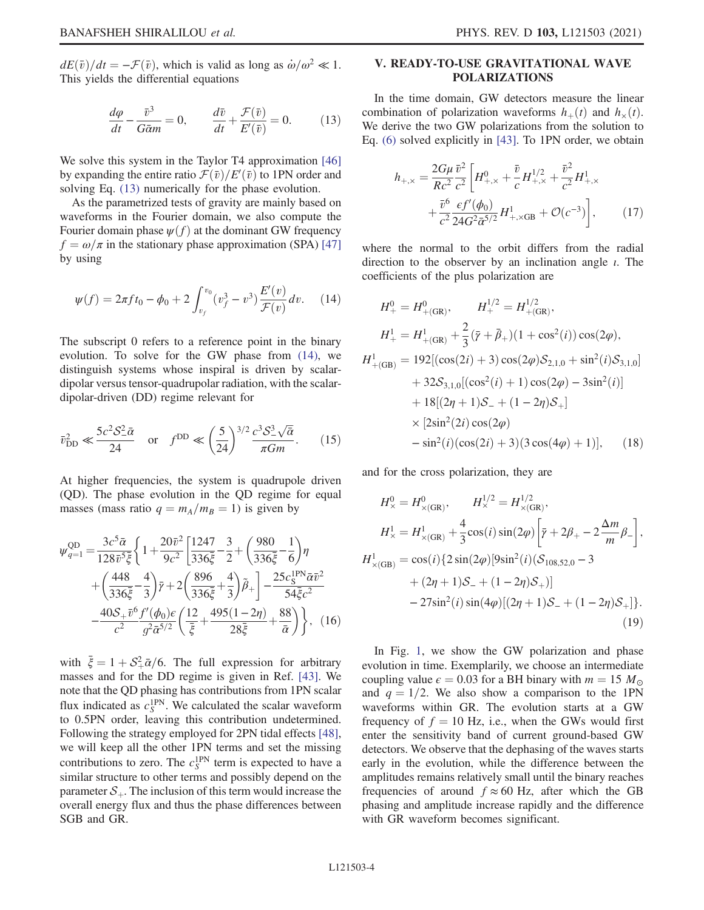<span id="page-4-0"></span> $dE(\bar{v})/dt = -\mathcal{F}(\bar{v})$ , which is valid as long as  $\dot{\omega}/\omega^2 \ll 1$ . This yields the differential equations

$$
\frac{d\varphi}{dt} - \frac{\bar{v}^3}{G\bar{a}m} = 0, \qquad \frac{d\bar{v}}{dt} + \frac{\mathcal{F}(\bar{v})}{E'(\bar{v})} = 0.
$$
 (13)

We solve this system in the Taylor T4 approximation [\[46\]](#page-8-13) by expanding the entire ratio  $\mathcal{F}(\bar{v})/E'(\bar{v})$  to 1PN order and solving Eq. (13) numerically for the phase evolution solving Eq. [\(13\)](#page-4-0) numerically for the phase evolution.

<span id="page-4-1"></span>As the parametrized tests of gravity are mainly based on waveforms in the Fourier domain, we also compute the Fourier domain phase  $\psi(f)$  at the dominant GW frequency  $f = \omega/\pi$  in the stationary phase approximation (SPA) [\[47\]](#page-8-14) by using

$$
\psi(f) = 2\pi f t_0 - \phi_0 + 2 \int_{v_f}^{v_0} (v_f^3 - v^3) \frac{E'(v)}{\mathcal{F}(v)} dv. \tag{14}
$$

<span id="page-4-2"></span>The subscript 0 refers to a reference point in the binary evolution. To solve for the GW phase from [\(14\)](#page-4-1), we distinguish systems whose inspiral is driven by scalardipolar versus tensor-quadrupolar radiation, with the scalardipolar-driven (DD) regime relevant for

$$
\bar{v}_{\text{DD}}^2 \ll \frac{5c^2 \mathcal{S}_{-\overline{\alpha}}^2}{24} \quad \text{or} \quad f^{\text{DD}} \ll \left(\frac{5}{24}\right)^{3/2} \frac{c^3 \mathcal{S}_{-\overline{\alpha}}^3}{\pi G m}.
$$
 (15)

At higher frequencies, the system is quadrupole driven (QD). The phase evolution in the QD regime for equal masses (mass ratio  $q = m_A/m_B = 1$ ) is given by

$$
\psi_{q=1}^{\text{QD}} = \frac{3c^5 \bar{\alpha}}{128 \bar{v}^5 \bar{\xi}} \left\{ 1 + \frac{20 \bar{v}^2}{9c^2} \left[ \frac{1247}{336 \bar{\xi}} - \frac{3}{2} + \left( \frac{980}{336 \bar{\xi}} - \frac{1}{6} \right) \eta \right. \right. \\
\left. + \left( \frac{448}{336 \bar{\xi}} - \frac{4}{3} \right) \bar{r} + 2 \left( \frac{896}{336 \bar{\xi}} + \frac{4}{3} \right) \tilde{\beta}_+ \right] - \frac{25 c_5^{\text{IPN}} \bar{\alpha} \bar{v}^2}{54 \bar{\xi} c^2} \\
\left. - \frac{40 \mathcal{S}_+ \bar{v}^6 f'(\phi_0) \epsilon}{c^2} \left( \frac{12}{\bar{\xi}} + \frac{495 (1 - 2\eta)}{28 \bar{\xi}} + \frac{88}{\bar{\alpha}} \right) \right\}, \quad (16)
$$

with  $\bar{\xi} = 1 + S_+^2 \bar{\alpha}/6$ . The full expression for arbitrary<br>masses and for the DD regime is given in Ref. [43] We masses and for the DD regime is given in Ref. [\[43\].](#page-8-9) We note that the QD phasing has contributions from 1PN scalar flux indicated as  $c_S^{\text{1PN}}$ . We calculated the scalar waveform to 0.5PN order, leaving this contribution undetermined. Following the strategy employed for 2PN tidal effects [\[48\]](#page-8-15), we will keep all the other 1PN terms and set the missing contributions to zero. The  $c_S^{\text{1PN}}$  term is expected to have a similar structure to other terms and possibly depend on the parameter  $S_{+}$ . The inclusion of this term would increase the overall energy flux and thus the phase differences between SGB and GR.

### V. READY-TO-USE GRAVITATIONAL WAVE POLARIZATIONS

In the time domain, GW detectors measure the linear combination of polarization waveforms  $h_{+}(t)$  and  $h_{\times}(t)$ . We derive the two GW polarizations from the solution to Eq. [\(6\)](#page-3-0) solved explicitly in [\[43\]](#page-8-9). To 1PN order, we obtain

$$
h_{+,\times} = \frac{2G\mu}{Rc^2} \frac{\bar{v}^2}{c^2} \left[ H_{+,\times}^0 + \frac{\bar{v}}{c} H_{+,\times}^{1/2} + \frac{\bar{v}^2}{c^2} H_{+,\times}^1 + \frac{\bar{v}^6}{c^2} \frac{\epsilon f'(\phi_0)}{24G^2 \bar{\alpha}^{5/2}} H_{+,\times}^1 + \mathcal{O}(c^{-3}) \right],\tag{17}
$$

where the normal to the orbit differs from the radial direction to the observer by an inclination angle  $\iota$ . The coefficients of the plus polarization are

$$
H_{+}^{0} = H_{+(GR)}^{0}, \qquad H_{+}^{1/2} = H_{+(GR)}^{1/2},
$$
  
\n
$$
H_{+}^{1} = H_{+(GR)}^{1} + \frac{2}{3} (\bar{\gamma} + \bar{\beta}_{+}) (1 + \cos^{2}(i)) \cos(2\varphi),
$$
  
\n
$$
H_{+(GB)}^{1} = 192 [(\cos(2i) + 3) \cos(2\varphi) S_{2,1,0} + \sin^{2}(i) S_{3,1,0}] + 32 S_{3,1,0} [(\cos^{2}(i) + 1) \cos(2\varphi) - 3\sin^{2}(i)] + 18 [(2\eta + 1) S_{-} + (1 - 2\eta) S_{+}] \times [2\sin^{2}(2i) \cos(2\varphi) - \sin^{2}(i) (\cos(2i) + 3) (3 \cos(4\varphi) + 1)], \qquad (18)
$$

and for the cross polarization, they are

$$
H_{\times}^{0} = H_{\times (GR)}^{0}, \qquad H_{\times}^{1/2} = H_{\times (GR)}^{1/2},
$$
  
\n
$$
H_{\times}^{1} = H_{\times (GR)}^{1} + \frac{4}{3} \cos(i) \sin(2\varphi) \left[ \bar{\gamma} + 2\beta_{+} - 2\frac{\Delta m}{m} \beta_{-} \right],
$$
  
\n
$$
H_{\times (GB)}^{1} = \cos(i) \{ 2 \sin(2\varphi) [9\sin^{2}(i)(S_{108,52,0} - 3 + (2\eta + 1)S_{-} + (1 - 2\eta)S_{+}) \} - 27\sin^{2}(i) \sin(4\varphi) [(2\eta + 1)S_{-} + (1 - 2\eta)S_{+}] \}.
$$
  
\n(19)

In Fig. [1,](#page-5-0) we show the GW polarization and phase evolution in time. Exemplarily, we choose an intermediate coupling value  $\epsilon = 0.03$  for a BH binary with  $m = 15 M_{\odot}$ and  $q = 1/2$ . We also show a comparison to the 1PN waveforms within GR. The evolution starts at a GW frequency of  $f = 10$  Hz, i.e., when the GWs would first enter the sensitivity band of current ground-based GW detectors. We observe that the dephasing of the waves starts early in the evolution, while the difference between the amplitudes remains relatively small until the binary reaches frequencies of around  $f \approx 60$  Hz, after which the GB phasing and amplitude increase rapidly and the difference with GR waveform becomes significant.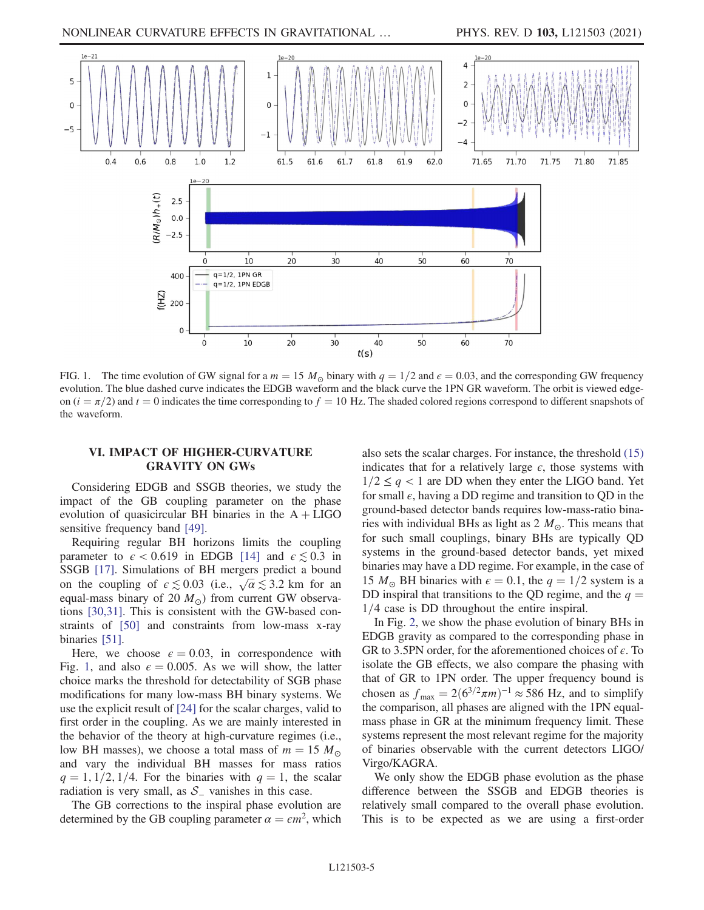<span id="page-5-0"></span>

FIG. 1. The time evolution of GW signal for a  $m = 15 M_{\odot}$  binary with  $q = 1/2$  and  $\epsilon = 0.03$ , and the corresponding GW frequency evolution. The blue dashed curve indicates the EDGB waveform and the black curve the 1PN GR waveform. The orbit is viewed edgeon  $(i = \pi/2)$  and  $t = 0$  indicates the time corresponding to  $f = 10$  Hz. The shaded colored regions correspond to different snapshots of the waveform.

#### VI. IMPACT OF HIGHER-CURVATURE GRAVITY ON GWS

Considering EDGB and SSGB theories, we study the impact of the GB coupling parameter on the phase evolution of quasicircular BH binaries in the  $A + LIGO$ sensitive frequency band [\[49\].](#page-8-16)

Requiring regular BH horizons limits the coupling parameter to  $\epsilon$  < 0.619 in EDGB [\[14\]](#page-7-6) and  $\epsilon \lesssim 0.3$  in SSGB [\[17\].](#page-7-10) Simulations of BH mergers predict a bound on the coupling of  $\epsilon \lesssim 0.03$  (i.e.,  $\sqrt{\alpha} \lesssim 3.2$  km for an equal-mass binary of 20  $M_{\odot}$ ) from current GW observations [\[30,31\].](#page-8-0) This is consistent with the GW-based constraints of [\[50\]](#page-8-17) and constraints from low-mass x-ray binaries [\[51\].](#page-8-18)

Here, we choose  $\epsilon = 0.03$ , in correspondence with Fig. [1](#page-5-0), and also  $\epsilon = 0.005$ . As we will show, the latter choice marks the threshold for detectability of SGB phase modifications for many low-mass BH binary systems. We use the explicit result of [\[24\]](#page-7-8) for the scalar charges, valid to first order in the coupling. As we are mainly interested in the behavior of the theory at high-curvature regimes (i.e., low BH masses), we choose a total mass of  $m = 15 M_{\odot}$ and vary the individual BH masses for mass ratios  $q = 1, 1/2, 1/4$ . For the binaries with  $q = 1$ , the scalar radiation is very small, as  $S_$  vanishes in this case.

The GB corrections to the inspiral phase evolution are determined by the GB coupling parameter  $\alpha = \epsilon m^2$ , which also sets the scalar charges. For instance, the threshold [\(15\)](#page-4-2) indicates that for a relatively large  $\epsilon$ , those systems with  $1/2 \leq q < 1$  are DD when they enter the LIGO band. Yet for small  $\epsilon$ , having a DD regime and transition to QD in the ground-based detector bands requires low-mass-ratio binaries with individual BHs as light as  $2 M_{\odot}$ . This means that for such small couplings, binary BHs are typically QD systems in the ground-based detector bands, yet mixed binaries may have a DD regime. For example, in the case of 15  $M_{\odot}$  BH binaries with  $\epsilon = 0.1$ , the  $q = 1/2$  system is a DD inspiral that transitions to the QD regime, and the  $q =$  $1/4$  case is DD throughout the entire inspiral.

In Fig. [2](#page-6-0), we show the phase evolution of binary BHs in EDGB gravity as compared to the corresponding phase in GR to 3.5PN order, for the aforementioned choices of  $\epsilon$ . To isolate the GB effects, we also compare the phasing with that of GR to 1PN order. The upper frequency bound is chosen as  $f_{\text{max}} = 2(6^{3/2}\pi m)^{-1} \approx 586$  Hz, and to simplify the comparison, all phases are aligned with the 1PN equalmass phase in GR at the minimum frequency limit. These systems represent the most relevant regime for the majority of binaries observable with the current detectors LIGO/ Virgo/KAGRA.

We only show the EDGB phase evolution as the phase difference between the SSGB and EDGB theories is relatively small compared to the overall phase evolution. This is to be expected as we are using a first-order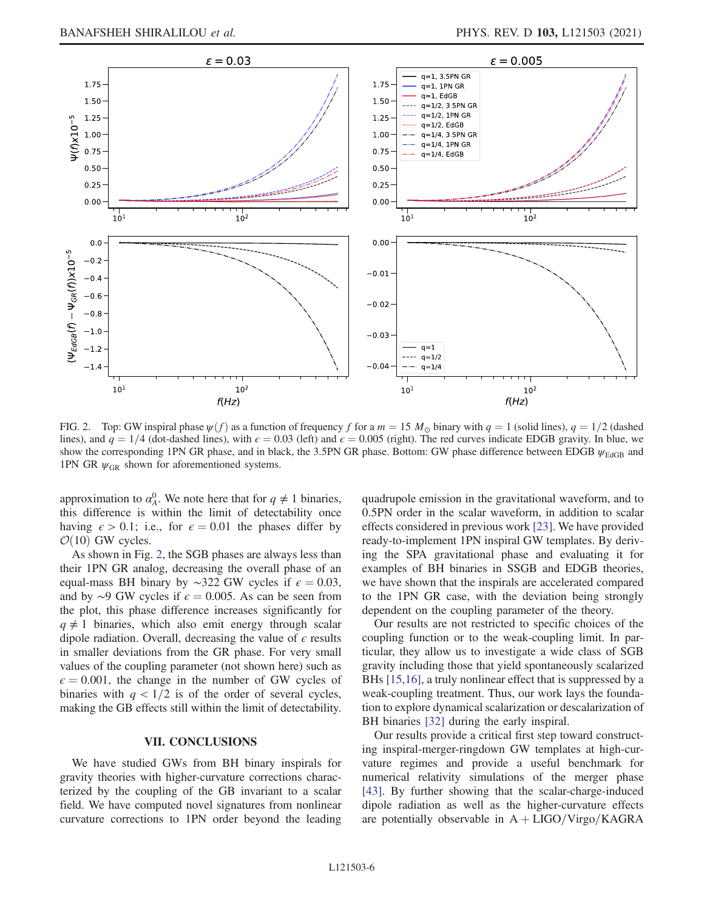<span id="page-6-0"></span>

FIG. 2. Top: GW inspiral phase  $\psi(f)$  as a function of frequency f for a  $m = 15 M_{\odot}$  binary with  $q = 1$  (solid lines),  $q = 1/2$  (dashed lines), and  $q = 1/4$  (dot-dashed lines), with  $\epsilon = 0.03$  (left) and  $\epsilon = 0.005$  (right). The red curves indicate EDGB gravity. In blue, we show the corresponding 1PN GR phase, and in black, the 3.5PN GR phase. Bottom: GW phase difference between EDGB  $\psi_{\text{EdGB}}$  and 1PN GR  $\psi_{GR}$  shown for aforementioned systems.

approximation to  $\alpha_A^0$ . We note here that for  $q \neq 1$  binaries, this difference is within the limit of detectability once having  $\epsilon > 0.1$ ; i.e., for  $\epsilon = 0.01$  the phases differ by  $\mathcal{O}(10)$  GW cycles.

As shown in Fig. [2](#page-6-0), the SGB phases are always less than their 1PN GR analog, decreasing the overall phase of an equal-mass BH binary by ∼322 GW cycles if  $\epsilon = 0.03$ , and by ∼9 GW cycles if  $\epsilon = 0.005$ . As can be seen from the plot, this phase difference increases significantly for  $q \neq 1$  binaries, which also emit energy through scalar dipole radiation. Overall, decreasing the value of  $\epsilon$  results in smaller deviations from the GR phase. For very small values of the coupling parameter (not shown here) such as  $\epsilon = 0.001$ , the change in the number of GW cycles of binaries with  $q < 1/2$  is of the order of several cycles, making the GB effects still within the limit of detectability.

## $\overline{\phantom{a}}$

We have studied GWs from BH binary inspirals for gravity theories with higher-curvature corrections characterized by the coupling of the GB invariant to a scalar field. We have computed novel signatures from nonlinear curvature corrections to 1PN order beyond the leading quadrupole emission in the gravitational waveform, and to 0.5PN order in the scalar waveform, in addition to scalar effects considered in previous work [\[23\].](#page-7-7) We have provided ready-to-implement 1PN inspiral GW templates. By deriving the SPA gravitational phase and evaluating it for examples of BH binaries in SSGB and EDGB theories, we have shown that the inspirals are accelerated compared to the 1PN GR case, with the deviation being strongly dependent on the coupling parameter of the theory.

Our results are not restricted to specific choices of the coupling function or to the weak-coupling limit. In particular, they allow us to investigate a wide class of SGB gravity including those that yield spontaneously scalarized BHs [\[15,16\]](#page-7-5), a truly nonlinear effect that is suppressed by a weak-coupling treatment. Thus, our work lays the foundation to explore dynamical scalarization or descalarization of BH binaries [\[32\]](#page-8-1) during the early inspiral.

Our results provide a critical first step toward constructing inspiral-merger-ringdown GW templates at high-curvature regimes and provide a useful benchmark for numerical relativity simulations of the merger phase [\[43\]](#page-8-9). By further showing that the scalar-charge-induced dipole radiation as well as the higher-curvature effects are potentially observable in  $A + LIGO/Virgo/KAGRA$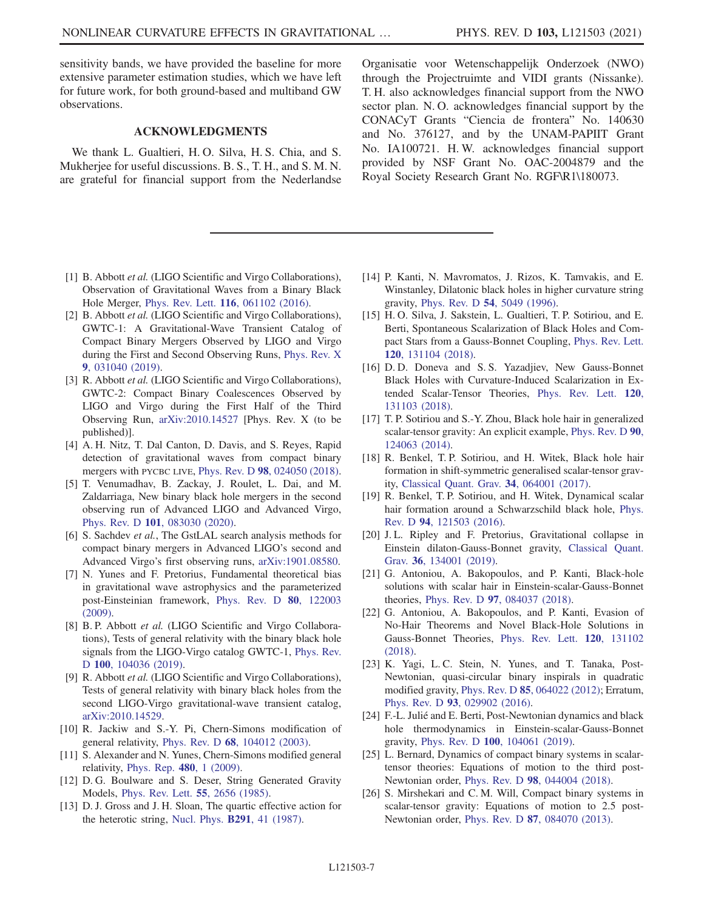sensitivity bands, we have provided the baseline for more extensive parameter estimation studies, which we have left for future work, for both ground-based and multiband GW observations.

### ACKNOWLEDGMENTS

We thank L. Gualtieri, H. O. Silva, H. S. Chia, and S. Mukherjee for useful discussions. B. S., T. H., and S. M. N. are grateful for financial support from the Nederlandse

- <span id="page-7-0"></span>[1] B. Abbott et al. (LIGO Scientific and Virgo Collaborations), Observation of Gravitational Waves from a Binary Black Hole Merger, Phys. Rev. Lett. 116[, 061102 \(2016\)](https://doi.org/10.1103/PhysRevLett.116.061102).
- <span id="page-7-1"></span>[2] B. Abbott et al. (LIGO Scientific and Virgo Collaborations), GWTC-1: A Gravitational-Wave Transient Catalog of Compact Binary Mergers Observed by LIGO and Virgo during the First and Second Observing Runs, [Phys. Rev. X](https://doi.org/10.1103/PhysRevX.9.031040) 9[, 031040 \(2019\)](https://doi.org/10.1103/PhysRevX.9.031040).
- [3] R. Abbott et al. (LIGO Scientific and Virgo Collaborations), GWTC-2: Compact Binary Coalescences Observed by LIGO and Virgo during the First Half of the Third Observing Run, [arXiv:2010.14527](https://arXiv.org/abs/2010.14527) [Phys. Rev. X (to be published)].
- [4] A. H. Nitz, T. Dal Canton, D. Davis, and S. Reyes, Rapid detection of gravitational waves from compact binary mergers with PYCBC LIVE, Phys. Rev. D 98[, 024050 \(2018\).](https://doi.org/10.1103/PhysRevD.98.024050)
- [5] T. Venumadhav, B. Zackay, J. Roulet, L. Dai, and M. Zaldarriaga, New binary black hole mergers in the second observing run of Advanced LIGO and Advanced Virgo, Phys. Rev. D 101[, 083030 \(2020\)](https://doi.org/10.1103/PhysRevD.101.083030).
- [6] S. Sachdev et al., The GstLAL search analysis methods for compact binary mergers in Advanced LIGO's second and Advanced Virgo's first observing runs, [arXiv:1901.08580.](https://arXiv.org/abs/1901.08580)
- <span id="page-7-2"></span>[7] N. Yunes and F. Pretorius, Fundamental theoretical bias in gravitational wave astrophysics and the parameterized post-Einsteinian framework, [Phys. Rev. D](https://doi.org/10.1103/PhysRevD.80.122003) 80, 122003 [\(2009\).](https://doi.org/10.1103/PhysRevD.80.122003)
- [8] B. P. Abbott et al. (LIGO Scientific and Virgo Collaborations), Tests of general relativity with the binary black hole signals from the LIGO-Virgo catalog GWTC-1, [Phys. Rev.](https://doi.org/10.1103/PhysRevD.100.104036) <sup>D</sup> 100[, 104036 \(2019\).](https://doi.org/10.1103/PhysRevD.100.104036)
- [9] R. Abbott et al. (LIGO Scientific and Virgo Collaborations), Tests of general relativity with binary black holes from the second LIGO-Virgo gravitational-wave transient catalog, [arXiv:2010.14529.](https://arXiv.org/abs/2010.14529)
- <span id="page-7-3"></span>[10] R. Jackiw and S.-Y. Pi, Chern-Simons modification of general relativity, Phys. Rev. D 68[, 104012 \(2003\)](https://doi.org/10.1103/PhysRevD.68.104012).
- <span id="page-7-4"></span>[11] S. Alexander and N. Yunes, Chern-Simons modified general relativity, [Phys. Rep.](https://doi.org/10.1016/j.physrep.2009.07.002) 480, 1 (2009).
- [12] D. G. Boulware and S. Deser, String Generated Gravity Models, [Phys. Rev. Lett.](https://doi.org/10.1103/PhysRevLett.55.2656) 55, 2656 (1985).
- [13] D. J. Gross and J. H. Sloan, The quartic effective action for the heterotic string, [Nucl. Phys.](https://doi.org/10.1016/0550-3213(87)90465-2) B291, 41 (1987).

Organisatie voor Wetenschappelijk Onderzoek (NWO) through the Projectruimte and VIDI grants (Nissanke). T. H. also acknowledges financial support from the NWO sector plan. N. O. acknowledges financial support by the CONACyT Grants "Ciencia de frontera" No. 140630 and No. 376127, and by the UNAM-PAPIIT Grant No. IA100721. H. W. acknowledges financial support provided by NSF Grant No. OAC-2004879 and the Royal Society Research Grant No. RGF\R1\180073.

- <span id="page-7-6"></span>[14] P. Kanti, N. Mavromatos, J. Rizos, K. Tamvakis, and E. Winstanley, Dilatonic black holes in higher curvature string gravity, Phys. Rev. D 54[, 5049 \(1996\).](https://doi.org/10.1103/PhysRevD.54.5049)
- <span id="page-7-5"></span>[15] H. O. Silva, J. Sakstein, L. Gualtieri, T. P. Sotiriou, and E. Berti, Spontaneous Scalarization of Black Holes and Compact Stars from a Gauss-Bonnet Coupling, [Phys. Rev. Lett.](https://doi.org/10.1103/PhysRevLett.120.131104) 120[, 131104 \(2018\).](https://doi.org/10.1103/PhysRevLett.120.131104)
- [16] D. D. Doneva and S. S. Yazadjiev, New Gauss-Bonnet Black Holes with Curvature-Induced Scalarization in Extended Scalar-Tensor Theories, [Phys. Rev. Lett.](https://doi.org/10.1103/PhysRevLett.120.131103) 120, [131103 \(2018\).](https://doi.org/10.1103/PhysRevLett.120.131103)
- <span id="page-7-10"></span>[17] T. P. Sotiriou and S.-Y. Zhou, Black hole hair in generalized scalar-tensor gravity: An explicit example, [Phys. Rev. D](https://doi.org/10.1103/PhysRevD.90.124063) 90, [124063 \(2014\).](https://doi.org/10.1103/PhysRevD.90.124063)
- [18] R. Benkel, T.P. Sotiriou, and H. Witek, Black hole hair formation in shift-symmetric generalised scalar-tensor gravity, [Classical Quant. Grav.](https://doi.org/10.1088/1361-6382/aa5ce7) 34, 064001 (2017).
- [19] R. Benkel, T. P. Sotiriou, and H. Witek, Dynamical scalar hair formation around a Schwarzschild black hole, [Phys.](https://doi.org/10.1103/PhysRevD.94.121503) Rev. D 94[, 121503 \(2016\)](https://doi.org/10.1103/PhysRevD.94.121503).
- [20] J. L. Ripley and F. Pretorius, Gravitational collapse in Einstein dilaton-Gauss-Bonnet gravity, [Classical Quant.](https://doi.org/10.1088/1361-6382/ab2416) Grav. 36[, 134001 \(2019\).](https://doi.org/10.1088/1361-6382/ab2416)
- [21] G. Antoniou, A. Bakopoulos, and P. Kanti, Black-hole solutions with scalar hair in Einstein-scalar-Gauss-Bonnet theories, Phys. Rev. D 97[, 084037 \(2018\).](https://doi.org/10.1103/PhysRevD.97.084037)
- [22] G. Antoniou, A. Bakopoulos, and P. Kanti, Evasion of No-Hair Theorems and Novel Black-Hole Solutions in Gauss-Bonnet Theories, [Phys. Rev. Lett.](https://doi.org/10.1103/PhysRevLett.120.131102) 120, 131102 [\(2018\).](https://doi.org/10.1103/PhysRevLett.120.131102)
- <span id="page-7-7"></span>[23] K. Yagi, L. C. Stein, N. Yunes, and T. Tanaka, Post-Newtonian, quasi-circular binary inspirals in quadratic modified gravity, Phys. Rev. D 85[, 064022 \(2012\)](https://doi.org/10.1103/PhysRevD.85.064022); Erratum, Phys. Rev. D 93[, 029902 \(2016\)](https://doi.org/10.1103/PhysRevD.93.029902).
- <span id="page-7-8"></span>[24] F.-L. Julié and E. Berti, Post-Newtonian dynamics and black hole thermodynamics in Einstein-scalar-Gauss-Bonnet gravity, Phys. Rev. D 100[, 104061 \(2019\).](https://doi.org/10.1103/PhysRevD.100.104061)
- <span id="page-7-9"></span>[25] L. Bernard, Dynamics of compact binary systems in scalartensor theories: Equations of motion to the third post-Newtonian order, Phys. Rev. D 98[, 044004 \(2018\)](https://doi.org/10.1103/PhysRevD.98.044004).
- [26] S. Mirshekari and C. M. Will, Compact binary systems in scalar-tensor gravity: Equations of motion to 2.5 post-Newtonian order, Phys. Rev. D 87[, 084070 \(2013\)](https://doi.org/10.1103/PhysRevD.87.084070).